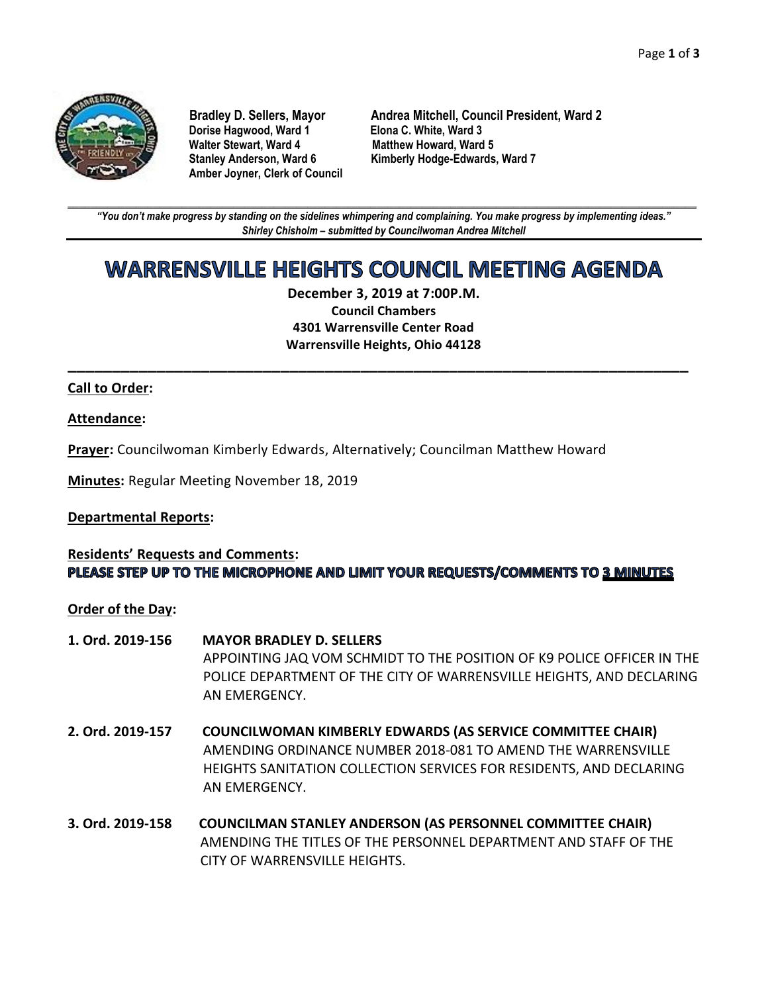

**Dorise Hagwood, Ward 1 Elona C. White, Ward 3 Amber Joyner, Clerk of Council**

**Bradley D. Sellers, Mayor Andrea Mitchell, Council President, Ward 2 Matthew Howard, Ward 5 Stanley Anderson, Ward 6 Kimberly Hodge-Edwards, Ward 7**

**\_\_\_\_\_\_\_\_\_\_\_\_\_\_\_\_\_\_\_\_\_\_\_\_\_\_\_\_\_\_\_\_\_\_\_\_\_\_\_\_\_\_\_\_\_\_\_\_\_\_\_\_\_\_\_\_\_\_\_\_\_\_\_\_\_\_\_\_\_\_\_\_\_\_\_\_\_\_\_\_\_\_\_\_\_\_\_\_\_\_\_\_\_\_\_\_\_\_\_\_\_\_\_\_\_\_\_\_\_\_** *"You don't make progress by standing on the sidelines whimpering and complaining. You make progress by implementing ideas." Shirley Chisholm – submitted by Councilwoman Andrea Mitchell*

# **WARRENSVILLE HEIGHTS COUNCIL MEETING AGENDA**

**December 3, 2019 at 7:00P.M. Council Chambers 4301 Warrensville Center Road Warrensville Heights, Ohio 44128**

**\_\_\_\_\_\_\_\_\_\_\_\_\_\_\_\_\_\_\_\_\_\_\_\_\_\_\_\_\_\_\_\_\_\_\_\_\_\_\_\_\_\_\_\_\_\_\_\_\_\_\_\_\_\_\_\_\_\_\_\_\_\_\_\_\_\_\_\_\_\_**

## **Call to Order:**

#### **Attendance:**

**Prayer:** Councilwoman Kimberly Edwards, Alternatively; Councilman Matthew Howard

**Minutes:** Regular Meeting November 18, 2019

#### **Departmental Reports:**

## **Residents' Requests and Comments:** PLEASE STEP UP TO THE MICROPHONE AND LIMIT YOUR REQUESTS/COMMENTS TO 3 MINUTES

**Order of the Day:**

- **1. Ord. 2019-156 MAYOR BRADLEY D. SELLERS** APPOINTING JAQ VOM SCHMIDT TO THE POSITION OF K9 POLICE OFFICER IN THE POLICE DEPARTMENT OF THE CITY OF WARRENSVILLE HEIGHTS, AND DECLARING AN EMERGENCY.
- **2. Ord. 2019-157 COUNCILWOMAN KIMBERLY EDWARDS (AS SERVICE COMMITTEE CHAIR)** AMENDING ORDINANCE NUMBER 2018-081 TO AMEND THE WARRENSVILLE HEIGHTS SANITATION COLLECTION SERVICES FOR RESIDENTS, AND DECLARING AN EMERGENCY.
- **3. Ord. 2019-158 COUNCILMAN STANLEY ANDERSON (AS PERSONNEL COMMITTEE CHAIR)** AMENDING THE TITLES OF THE PERSONNEL DEPARTMENT AND STAFF OF THE CITY OF WARRENSVILLE HEIGHTS.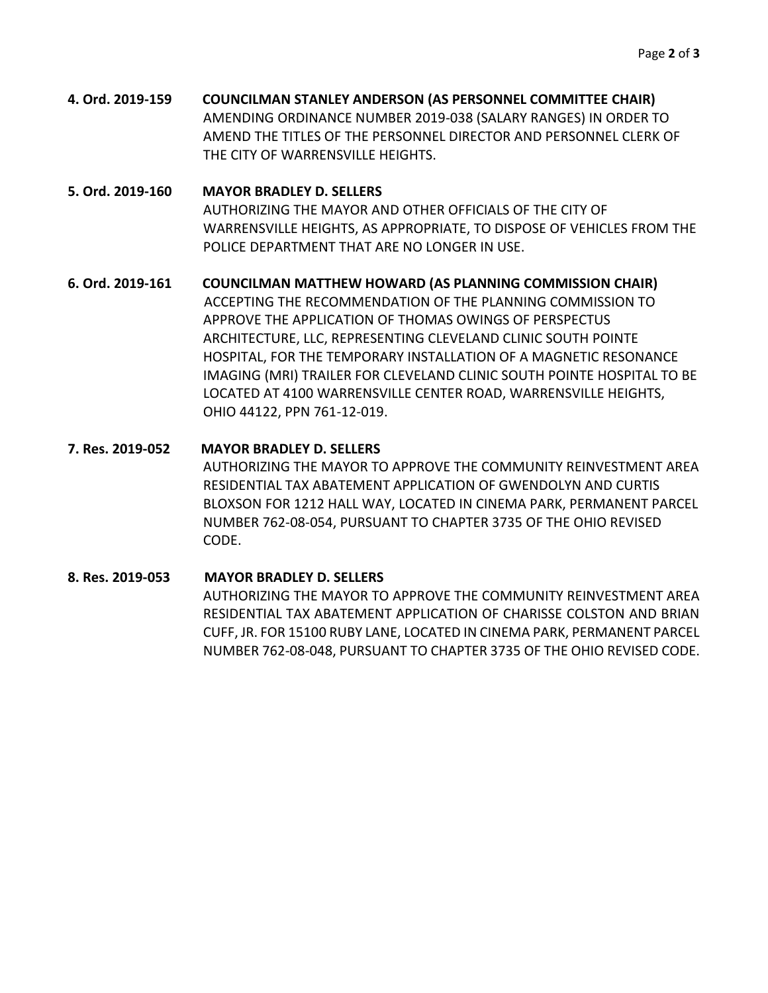**4. Ord. 2019-159 COUNCILMAN STANLEY ANDERSON (AS PERSONNEL COMMITTEE CHAIR)** AMENDING ORDINANCE NUMBER 2019-038 (SALARY RANGES) IN ORDER TO AMEND THE TITLES OF THE PERSONNEL DIRECTOR AND PERSONNEL CLERK OF THE CITY OF WARRENSVILLE HEIGHTS.

## **5. Ord. 2019-160 MAYOR BRADLEY D. SELLERS** AUTHORIZING THE MAYOR AND OTHER OFFICIALS OF THE CITY OF WARRENSVILLE HEIGHTS, AS APPROPRIATE, TO DISPOSE OF VEHICLES FROM THE POLICE DEPARTMENT THAT ARE NO LONGER IN USE.

## **6. Ord. 2019-161 COUNCILMAN MATTHEW HOWARD (AS PLANNING COMMISSION CHAIR)** ACCEPTING THE RECOMMENDATION OF THE PLANNING COMMISSION TO APPROVE THE APPLICATION OF THOMAS OWINGS OF PERSPECTUS ARCHITECTURE, LLC, REPRESENTING CLEVELAND CLINIC SOUTH POINTE HOSPITAL, FOR THE TEMPORARY INSTALLATION OF A MAGNETIC RESONANCE IMAGING (MRI) TRAILER FOR CLEVELAND CLINIC SOUTH POINTE HOSPITAL TO BE LOCATED AT 4100 WARRENSVILLE CENTER ROAD, WARRENSVILLE HEIGHTS, OHIO 44122, PPN 761-12-019.

## **7. Res. 2019-052 MAYOR BRADLEY D. SELLERS** AUTHORIZING THE MAYOR TO APPROVE THE COMMUNITY REINVESTMENT AREA RESIDENTIAL TAX ABATEMENT APPLICATION OF GWENDOLYN AND CURTIS BLOXSON FOR 1212 HALL WAY, LOCATED IN CINEMA PARK, PERMANENT PARCEL NUMBER 762-08-054, PURSUANT TO CHAPTER 3735 OF THE OHIO REVISED CODE.

## **8. Res. 2019-053 MAYOR BRADLEY D. SELLERS** AUTHORIZING THE MAYOR TO APPROVE THE COMMUNITY REINVESTMENT AREA RESIDENTIAL TAX ABATEMENT APPLICATION OF CHARISSE COLSTON AND BRIAN CUFF, JR. FOR 15100 RUBY LANE, LOCATED IN CINEMA PARK, PERMANENT PARCEL NUMBER 762-08-048, PURSUANT TO CHAPTER 3735 OF THE OHIO REVISED CODE.